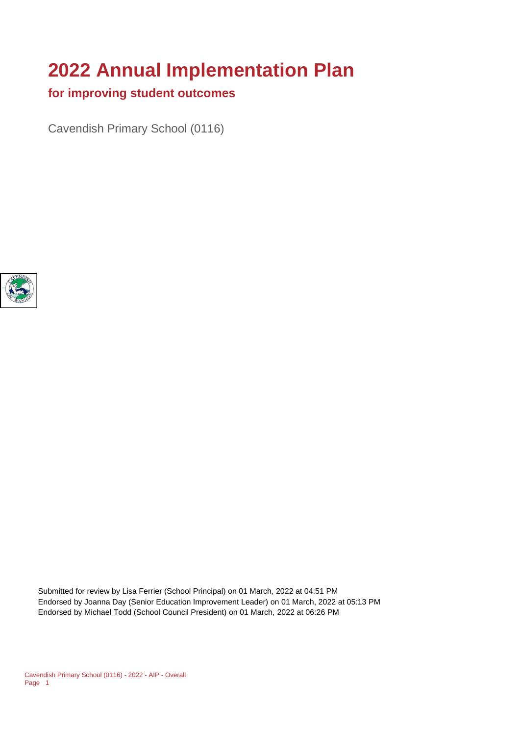# **2022 Annual Implementation Plan**

# **for improving student outcomes**

Cavendish Primary School (0116)



Submitted for review by Lisa Ferrier (School Principal) on 01 March, 2022 at 04:51 PM Endorsed by Joanna Day (Senior Education Improvement Leader) on 01 March, 2022 at 05:13 PM Endorsed by Michael Todd (School Council President) on 01 March, 2022 at 06:26 PM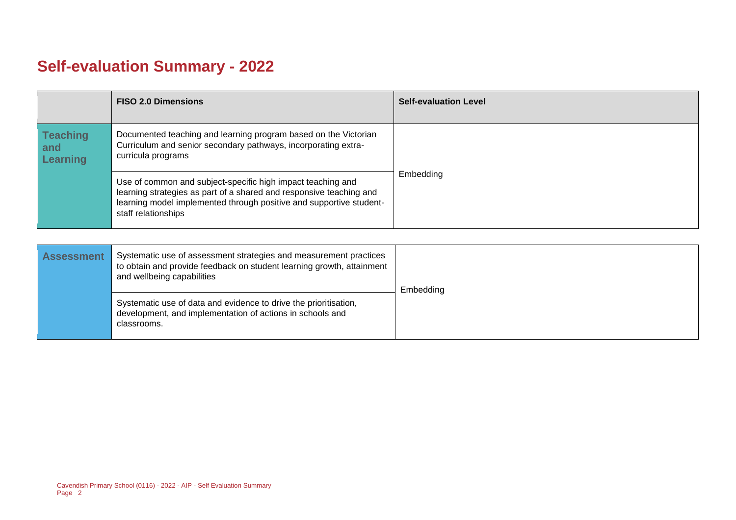# **Self-evaluation Summary - 2022**

|                                           | <b>FISO 2.0 Dimensions</b>                                                                                                                                                                                                       | <b>Self-evaluation Level</b> |
|-------------------------------------------|----------------------------------------------------------------------------------------------------------------------------------------------------------------------------------------------------------------------------------|------------------------------|
| <b>Teaching</b><br>and<br><b>Learning</b> | Documented teaching and learning program based on the Victorian<br>Curriculum and senior secondary pathways, incorporating extra-<br>curricula programs                                                                          |                              |
|                                           | Use of common and subject-specific high impact teaching and<br>learning strategies as part of a shared and responsive teaching and<br>learning model implemented through positive and supportive student-<br>staff relationships | Embedding                    |

| <b>Assessment</b> | Systematic use of assessment strategies and measurement practices<br>to obtain and provide feedback on student learning growth, attainment<br>and wellbeing capabilities | Embedding |
|-------------------|--------------------------------------------------------------------------------------------------------------------------------------------------------------------------|-----------|
|                   | Systematic use of data and evidence to drive the prioritisation,<br>development, and implementation of actions in schools and<br>classrooms.                             |           |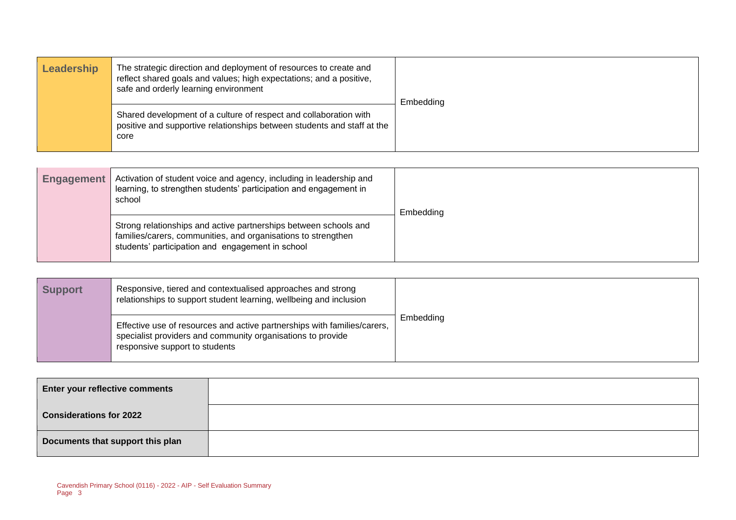| Leadership | The strategic direction and deployment of resources to create and<br>reflect shared goals and values; high expectations; and a positive,<br>safe and orderly learning environment | Embedding |
|------------|-----------------------------------------------------------------------------------------------------------------------------------------------------------------------------------|-----------|
|            | Shared development of a culture of respect and collaboration with<br>positive and supportive relationships between students and staff at the<br>core                              |           |

| <b>Engagement</b> | Activation of student voice and agency, including in leadership and<br>learning, to strengthen students' participation and engagement in<br>school                                    | Embedding |
|-------------------|---------------------------------------------------------------------------------------------------------------------------------------------------------------------------------------|-----------|
|                   | Strong relationships and active partnerships between schools and<br>families/carers, communities, and organisations to strengthen<br>students' participation and engagement in school |           |

| <b>Support</b> | Responsive, tiered and contextualised approaches and strong<br>relationships to support student learning, wellbeing and inclusion                                         |           |
|----------------|---------------------------------------------------------------------------------------------------------------------------------------------------------------------------|-----------|
|                | Effective use of resources and active partnerships with families/carers,<br>specialist providers and community organisations to provide<br>responsive support to students | Embedding |

| <b>Enter your reflective comments</b> |  |
|---------------------------------------|--|
| <b>Considerations for 2022</b>        |  |
| Documents that support this plan      |  |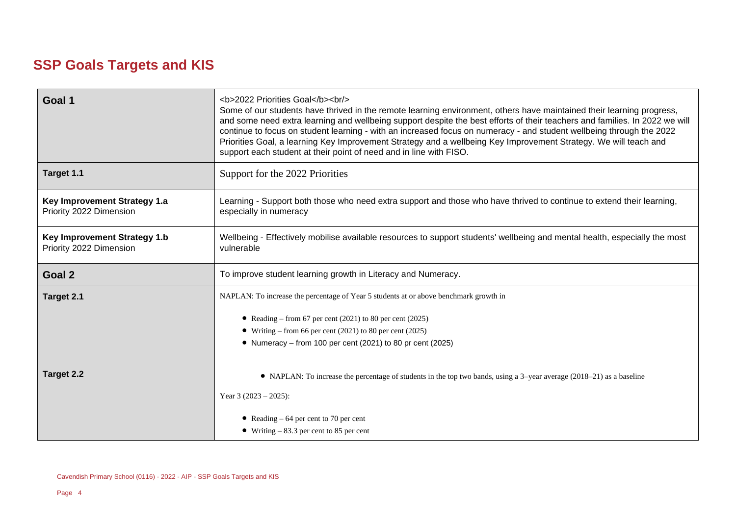# **SSP Goals Targets and KIS**

| Goal 1                                                         | <b>2022 Priorities Goal</b><br><br><br>Some of our students have thrived in the remote learning environment, others have maintained their learning progress,<br>and some need extra learning and wellbeing support despite the best efforts of their teachers and families. In 2022 we will<br>continue to focus on student learning - with an increased focus on numeracy - and student wellbeing through the 2022<br>Priorities Goal, a learning Key Improvement Strategy and a wellbeing Key Improvement Strategy. We will teach and<br>support each student at their point of need and in line with FISO. |  |  |
|----------------------------------------------------------------|---------------------------------------------------------------------------------------------------------------------------------------------------------------------------------------------------------------------------------------------------------------------------------------------------------------------------------------------------------------------------------------------------------------------------------------------------------------------------------------------------------------------------------------------------------------------------------------------------------------|--|--|
| Target 1.1                                                     | Support for the 2022 Priorities                                                                                                                                                                                                                                                                                                                                                                                                                                                                                                                                                                               |  |  |
| Key Improvement Strategy 1.a<br>Priority 2022 Dimension        | Learning - Support both those who need extra support and those who have thrived to continue to extend their learning,<br>especially in numeracy                                                                                                                                                                                                                                                                                                                                                                                                                                                               |  |  |
| <b>Key Improvement Strategy 1.b</b><br>Priority 2022 Dimension | Wellbeing - Effectively mobilise available resources to support students' wellbeing and mental health, especially the most<br>vulnerable                                                                                                                                                                                                                                                                                                                                                                                                                                                                      |  |  |
| Goal 2                                                         | To improve student learning growth in Literacy and Numeracy.                                                                                                                                                                                                                                                                                                                                                                                                                                                                                                                                                  |  |  |
|                                                                |                                                                                                                                                                                                                                                                                                                                                                                                                                                                                                                                                                                                               |  |  |
| Target 2.1                                                     | NAPLAN: To increase the percentage of Year 5 students at or above benchmark growth in                                                                                                                                                                                                                                                                                                                                                                                                                                                                                                                         |  |  |
|                                                                | • Reading – from 67 per cent (2021) to 80 per cent (2025)                                                                                                                                                                                                                                                                                                                                                                                                                                                                                                                                                     |  |  |
|                                                                | • Writing – from 66 per cent (2021) to 80 per cent (2025)                                                                                                                                                                                                                                                                                                                                                                                                                                                                                                                                                     |  |  |
|                                                                | • Numeracy – from 100 per cent (2021) to 80 pr cent (2025)                                                                                                                                                                                                                                                                                                                                                                                                                                                                                                                                                    |  |  |
| Target 2.2                                                     | • NAPLAN: To increase the percentage of students in the top two bands, using a 3-year average (2018–21) as a baseline                                                                                                                                                                                                                                                                                                                                                                                                                                                                                         |  |  |
|                                                                | Year 3 $(2023 – 2025)$ :                                                                                                                                                                                                                                                                                                                                                                                                                                                                                                                                                                                      |  |  |
|                                                                | • Reading $-64$ per cent to 70 per cent                                                                                                                                                                                                                                                                                                                                                                                                                                                                                                                                                                       |  |  |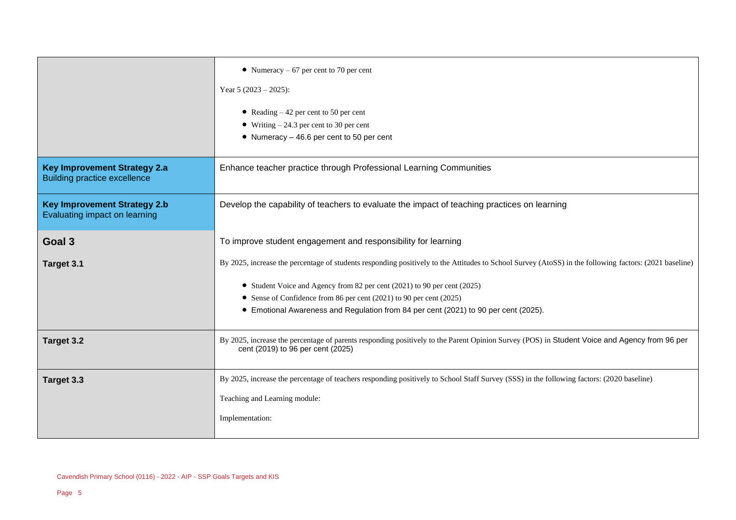|                                                                            | • Numeracy $-67$ per cent to 70 per cent<br>Year 5 $(2023 – 2025)$ :<br>• Reading $-42$ per cent to 50 per cent<br>• Writing $-24.3$ per cent to 30 per cent<br>• Numeracy $-46.6$ per cent to 50 per cent                                                                                                                                                                                       |  |
|----------------------------------------------------------------------------|--------------------------------------------------------------------------------------------------------------------------------------------------------------------------------------------------------------------------------------------------------------------------------------------------------------------------------------------------------------------------------------------------|--|
| <b>Key Improvement Strategy 2.a</b><br><b>Building practice excellence</b> | Enhance teacher practice through Professional Learning Communities                                                                                                                                                                                                                                                                                                                               |  |
| <b>Key Improvement Strategy 2.b</b><br>Evaluating impact on learning       | Develop the capability of teachers to evaluate the impact of teaching practices on learning                                                                                                                                                                                                                                                                                                      |  |
| Goal <sub>3</sub>                                                          | To improve student engagement and responsibility for learning                                                                                                                                                                                                                                                                                                                                    |  |
| Target 3.1                                                                 | By 2025, increase the percentage of students responding positively to the Attitudes to School Survey (AtoSS) in the following factors: (2021 baseline)<br>• Student Voice and Agency from 82 per cent (2021) to 90 per cent (2025)<br>• Sense of Confidence from 86 per cent (2021) to 90 per cent (2025)<br>• Emotional Awareness and Regulation from 84 per cent (2021) to 90 per cent (2025). |  |
| Target 3.2                                                                 | By 2025, increase the percentage of parents responding positively to the Parent Opinion Survey (POS) in Student Voice and Agency from 96 per<br>cent (2019) to 96 per cent (2025)                                                                                                                                                                                                                |  |
| Target 3.3                                                                 | By 2025, increase the percentage of teachers responding positively to School Staff Survey (SSS) in the following factors: (2020 baseline)<br>Teaching and Learning module:<br>Implementation:                                                                                                                                                                                                    |  |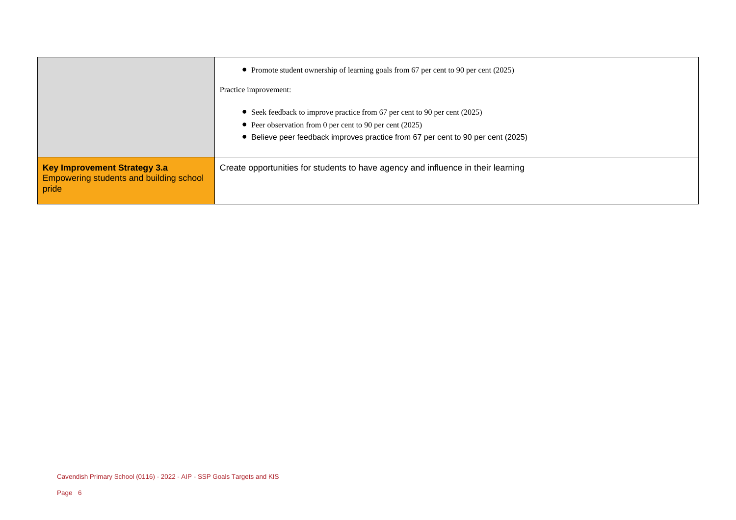|                                                                                         | • Promote student ownership of learning goals from 67 per cent to 90 per cent (2025)<br>Practice improvement:                                                                                                                |
|-----------------------------------------------------------------------------------------|------------------------------------------------------------------------------------------------------------------------------------------------------------------------------------------------------------------------------|
|                                                                                         | • Seek feedback to improve practice from 67 per cent to 90 per cent (2025)<br>• Peer observation from 0 per cent to 90 per cent $(2025)$<br>• Believe peer feedback improves practice from 67 per cent to 90 per cent (2025) |
| Key Improvement Strategy 3.a<br><b>Empowering students and building school</b><br>pride | Create opportunities for students to have agency and influence in their learning                                                                                                                                             |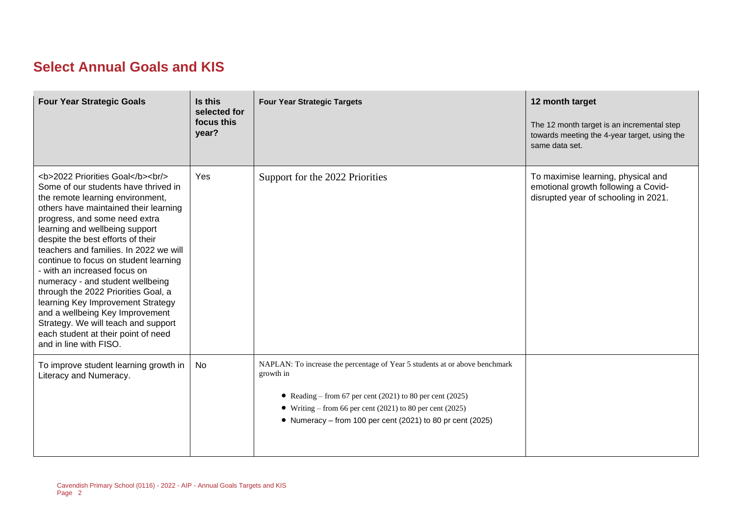# **Select Annual Goals and KIS**

| <b>Four Year Strategic Goals</b>                                                                                                                                                              | Is this<br>selected for<br>focus this<br>year? | <b>Four Year Strategic Targets</b>                                                                                                                                                                                                                                               | 12 month target<br>The 12 month target is an incremental step<br>towards meeting the 4-year target, using the<br>same data set. |
|-----------------------------------------------------------------------------------------------------------------------------------------------------------------------------------------------|------------------------------------------------|----------------------------------------------------------------------------------------------------------------------------------------------------------------------------------------------------------------------------------------------------------------------------------|---------------------------------------------------------------------------------------------------------------------------------|
| <b>2022 Priorities Goal</b><br><br><br>Some of our students have thrived in<br>the remote learning environment,<br>others have maintained their learning<br>progress, and some need extra<br> | Yes                                            | Support for the 2022 Priorities                                                                                                                                                                                                                                                  | To maximise learning, physical and<br>emotional growth following a Covid-<br>disrupted year of schooling in 2021.               |
| To improve student learning growth in<br>Literacy and Numeracy.                                                                                                                               | No                                             | NAPLAN: To increase the percentage of Year 5 students at or above benchmark<br>growth in<br>• Reading – from 67 per cent (2021) to 80 per cent (2025)<br>• Writing – from 66 per cent (2021) to 80 per cent (2025)<br>• Numeracy - from 100 per cent (2021) to 80 pr cent (2025) |                                                                                                                                 |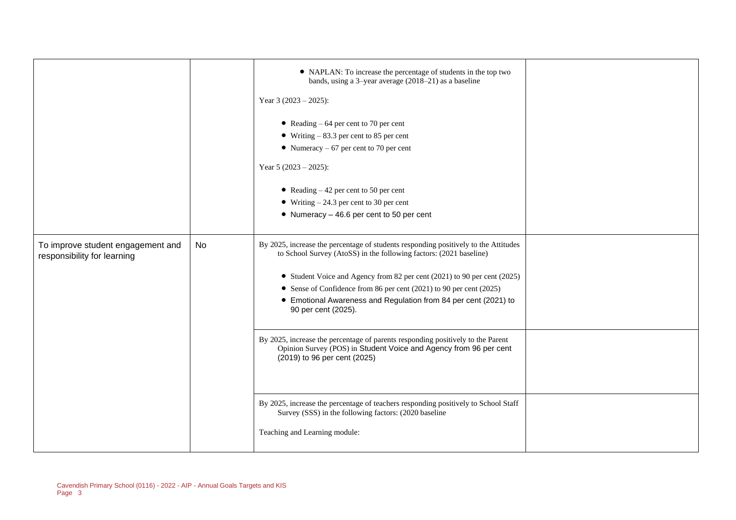|                                                                  |    | • NAPLAN: To increase the percentage of students in the top two<br>bands, using a 3-year average (2018-21) as a baseline<br>Year 3 $(2023 - 2025)$ :<br>• Reading $-64$ per cent to 70 per cent<br>• Writing $-83.3$ per cent to 85 per cent<br>• Numeracy $-67$ per cent to 70 per cent<br>Year 5 $(2023 - 2025)$ :<br>• Reading $-42$ per cent to 50 per cent<br>• Writing $-24.3$ per cent to 30 per cent<br>$\bullet$ Numeracy - 46.6 per cent to 50 per cent                                                                                                                                                                                                                                                                                                              |  |
|------------------------------------------------------------------|----|--------------------------------------------------------------------------------------------------------------------------------------------------------------------------------------------------------------------------------------------------------------------------------------------------------------------------------------------------------------------------------------------------------------------------------------------------------------------------------------------------------------------------------------------------------------------------------------------------------------------------------------------------------------------------------------------------------------------------------------------------------------------------------|--|
| To improve student engagement and<br>responsibility for learning | No | By 2025, increase the percentage of students responding positively to the Attitudes<br>to School Survey (AtoSS) in the following factors: (2021 baseline)<br>• Student Voice and Agency from 82 per cent (2021) to 90 per cent (2025)<br>• Sense of Confidence from 86 per cent (2021) to 90 per cent (2025)<br>• Emotional Awareness and Regulation from 84 per cent (2021) to<br>90 per cent (2025).<br>By 2025, increase the percentage of parents responding positively to the Parent<br>Opinion Survey (POS) in Student Voice and Agency from 96 per cent<br>(2019) to 96 per cent (2025)<br>By 2025, increase the percentage of teachers responding positively to School Staff<br>Survey (SSS) in the following factors: (2020 baseline<br>Teaching and Learning module: |  |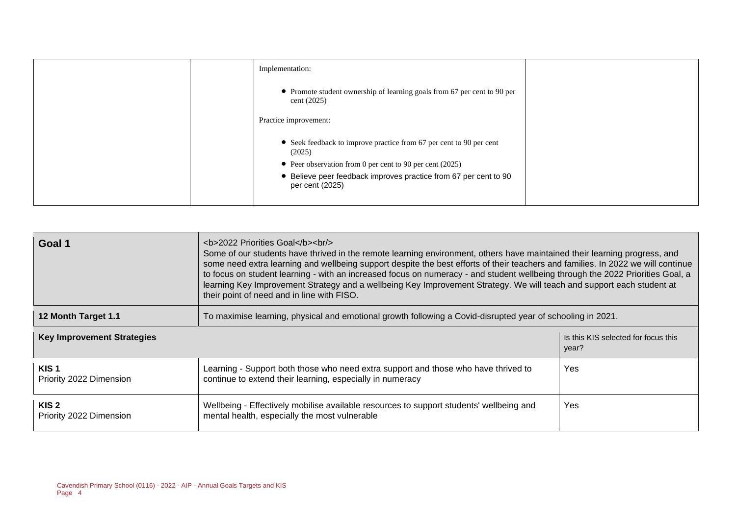| Implementation:                                                                         |  |
|-----------------------------------------------------------------------------------------|--|
| • Promote student ownership of learning goals from 67 per cent to 90 per<br>cent (2025) |  |
| Practice improvement:                                                                   |  |
| • Seek feedback to improve practice from 67 per cent to 90 per cent<br>(2025)           |  |
| • Peer observation from 0 per cent to 90 per cent (2025)                                |  |
| • Believe peer feedback improves practice from 67 per cent to 90<br>per cent (2025)     |  |
|                                                                                         |  |

| Goal 1                                      | <b>2022 Priorities Goal</b><br><br><br>Some of our students have thrived in the remote learning environment, others have maintained their learning progress, and<br>some need extra learning and wellbeing support despite the best efforts of their teachers and families. In 2022 we will continue<br>to focus on student learning - with an increased focus on numeracy - and student wellbeing through the 2022 Priorities Goal, a<br>learning Key Improvement Strategy and a wellbeing Key Improvement Strategy. We will teach and support each student at<br>their point of need and in line with FISO. |                                              |
|---------------------------------------------|---------------------------------------------------------------------------------------------------------------------------------------------------------------------------------------------------------------------------------------------------------------------------------------------------------------------------------------------------------------------------------------------------------------------------------------------------------------------------------------------------------------------------------------------------------------------------------------------------------------|----------------------------------------------|
| 12 Month Target 1.1                         | To maximise learning, physical and emotional growth following a Covid-disrupted year of schooling in 2021.                                                                                                                                                                                                                                                                                                                                                                                                                                                                                                    |                                              |
| <b>Key Improvement Strategies</b>           |                                                                                                                                                                                                                                                                                                                                                                                                                                                                                                                                                                                                               | Is this KIS selected for focus this<br>year? |
| KIS <sub>1</sub><br>Priority 2022 Dimension | Learning - Support both those who need extra support and those who have thrived to<br>continue to extend their learning, especially in numeracy                                                                                                                                                                                                                                                                                                                                                                                                                                                               | Yes                                          |
| KIS <sub>2</sub><br>Priority 2022 Dimension | Wellbeing - Effectively mobilise available resources to support students' wellbeing and<br>mental health, especially the most vulnerable                                                                                                                                                                                                                                                                                                                                                                                                                                                                      | Yes                                          |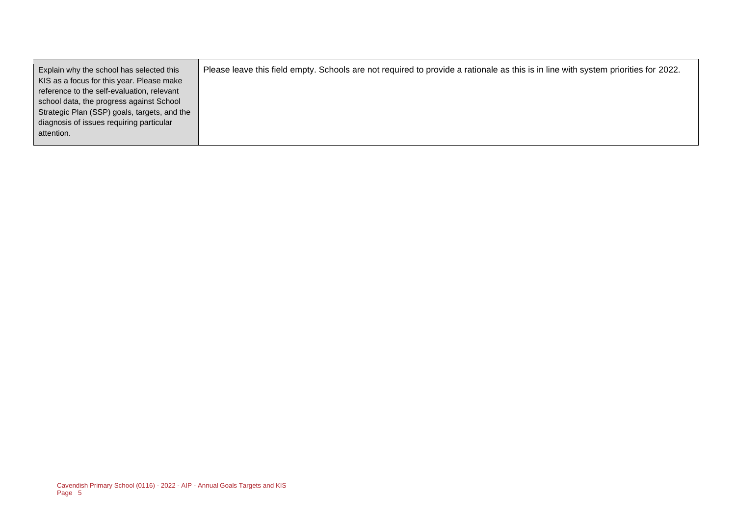| Explain why the school has selected this     | Please leave this field empty. Schools are not required to provide a rationale as this is in line with system priorities for 2022. |
|----------------------------------------------|------------------------------------------------------------------------------------------------------------------------------------|
| KIS as a focus for this year. Please make    |                                                                                                                                    |
| reference to the self-evaluation, relevant   |                                                                                                                                    |
| school data, the progress against School     |                                                                                                                                    |
| Strategic Plan (SSP) goals, targets, and the |                                                                                                                                    |
| diagnosis of issues requiring particular     |                                                                                                                                    |
| attention.                                   |                                                                                                                                    |
|                                              |                                                                                                                                    |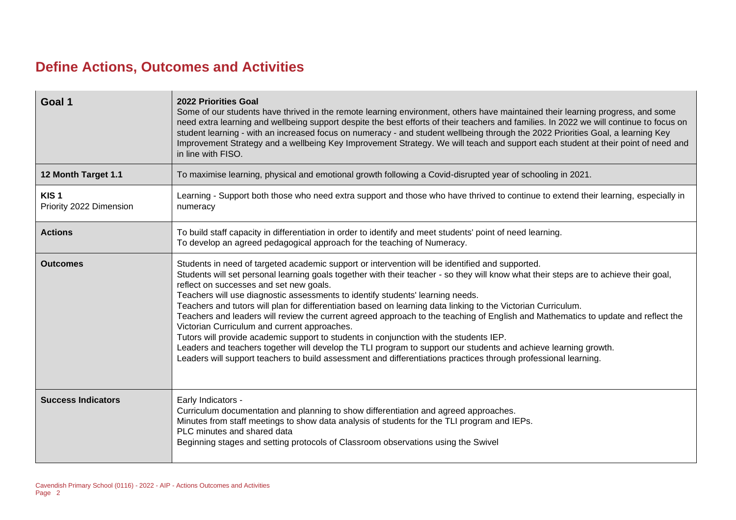# **Define Actions, Outcomes and Activities**

| Goal 1                                      | <b>2022 Priorities Goal</b><br>Some of our students have thrived in the remote learning environment, others have maintained their learning progress, and some<br>need extra learning and wellbeing support despite the best efforts of their teachers and families. In 2022 we will continue to focus on<br>student learning - with an increased focus on numeracy - and student wellbeing through the 2022 Priorities Goal, a learning Key<br>Improvement Strategy and a wellbeing Key Improvement Strategy. We will teach and support each student at their point of need and<br>in line with FISO.                                                                                                                                                                                                                                                                                                                                                                                                       |
|---------------------------------------------|-------------------------------------------------------------------------------------------------------------------------------------------------------------------------------------------------------------------------------------------------------------------------------------------------------------------------------------------------------------------------------------------------------------------------------------------------------------------------------------------------------------------------------------------------------------------------------------------------------------------------------------------------------------------------------------------------------------------------------------------------------------------------------------------------------------------------------------------------------------------------------------------------------------------------------------------------------------------------------------------------------------|
| 12 Month Target 1.1                         | To maximise learning, physical and emotional growth following a Covid-disrupted year of schooling in 2021.                                                                                                                                                                                                                                                                                                                                                                                                                                                                                                                                                                                                                                                                                                                                                                                                                                                                                                  |
| KIS <sub>1</sub><br>Priority 2022 Dimension | Learning - Support both those who need extra support and those who have thrived to continue to extend their learning, especially in<br>numeracy                                                                                                                                                                                                                                                                                                                                                                                                                                                                                                                                                                                                                                                                                                                                                                                                                                                             |
| <b>Actions</b>                              | To build staff capacity in differentiation in order to identify and meet students' point of need learning.<br>To develop an agreed pedagogical approach for the teaching of Numeracy.                                                                                                                                                                                                                                                                                                                                                                                                                                                                                                                                                                                                                                                                                                                                                                                                                       |
| <b>Outcomes</b>                             | Students in need of targeted academic support or intervention will be identified and supported.<br>Students will set personal learning goals together with their teacher - so they will know what their steps are to achieve their goal,<br>reflect on successes and set new goals.<br>Teachers will use diagnostic assessments to identify students' learning needs.<br>Teachers and tutors will plan for differentiation based on learning data linking to the Victorian Curriculum.<br>Teachers and leaders will review the current agreed approach to the teaching of English and Mathematics to update and reflect the<br>Victorian Curriculum and current approaches.<br>Tutors will provide academic support to students in conjunction with the students IEP.<br>Leaders and teachers together will develop the TLI program to support our students and achieve learning growth.<br>Leaders will support teachers to build assessment and differentiations practices through professional learning. |
| <b>Success Indicators</b>                   | Early Indicators -<br>Curriculum documentation and planning to show differentiation and agreed approaches.<br>Minutes from staff meetings to show data analysis of students for the TLI program and IEPs.<br>PLC minutes and shared data<br>Beginning stages and setting protocols of Classroom observations using the Swivel                                                                                                                                                                                                                                                                                                                                                                                                                                                                                                                                                                                                                                                                               |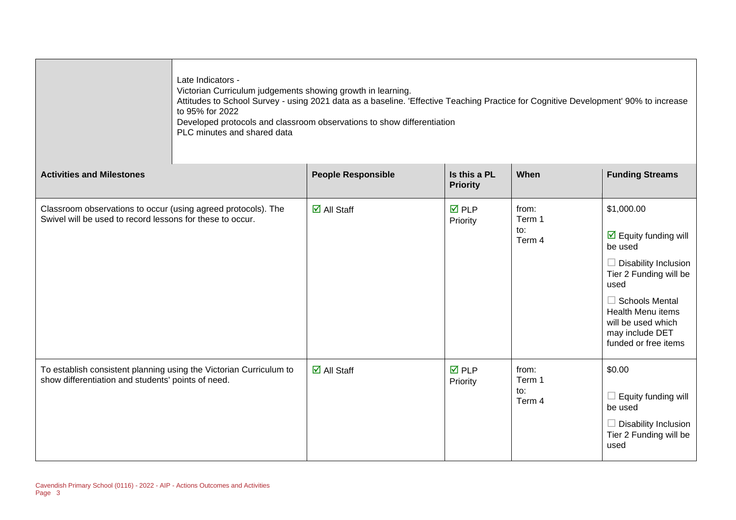|                                                                                                                            | Late Indicators -<br>Victorian Curriculum judgements showing growth in learning.<br>Attitudes to School Survey - using 2021 data as a baseline. 'Effective Teaching Practice for Cognitive Development' 90% to increase<br>to 95% for 2022<br>Developed protocols and classroom observations to show differentiation<br>PLC minutes and shared data |                             |                                 |                                  |                                                                                                                                                                                                                                                         |
|----------------------------------------------------------------------------------------------------------------------------|-----------------------------------------------------------------------------------------------------------------------------------------------------------------------------------------------------------------------------------------------------------------------------------------------------------------------------------------------------|-----------------------------|---------------------------------|----------------------------------|---------------------------------------------------------------------------------------------------------------------------------------------------------------------------------------------------------------------------------------------------------|
| <b>Activities and Milestones</b>                                                                                           |                                                                                                                                                                                                                                                                                                                                                     | <b>People Responsible</b>   | Is this a PL<br><b>Priority</b> | When                             | <b>Funding Streams</b>                                                                                                                                                                                                                                  |
| Classroom observations to occur (using agreed protocols). The<br>Swivel will be used to record lessons for these to occur. |                                                                                                                                                                                                                                                                                                                                                     | $\overline{\Box}$ All Staff | $\overline{M}$ PLP<br>Priority  | from:<br>Term 1<br>to:<br>Term 4 | \$1,000.00<br>$\boxed{\triangle}$ Equity funding will<br>be used<br>$\Box$ Disability Inclusion<br>Tier 2 Funding will be<br>used<br>$\Box$ Schools Mental<br><b>Health Menu items</b><br>will be used which<br>may include DET<br>funded or free items |
| To establish consistent planning using the Victorian Curriculum to<br>show differentiation and students' points of need.   |                                                                                                                                                                                                                                                                                                                                                     | $\overline{\Box}$ All Staff | $\overline{M}$ PLP<br>Priority  | from:<br>Term 1<br>to:<br>Term 4 | \$0.00<br>$\Box$ Equity funding will<br>be used<br>$\Box$ Disability Inclusion<br>Tier 2 Funding will be<br>used                                                                                                                                        |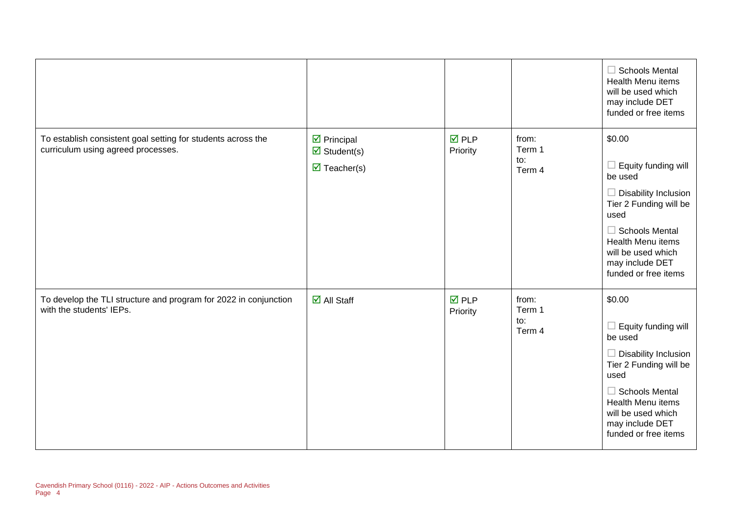|                                                                                                    |                                                                                                   |                                |                                  | $\Box$ Schools Mental<br>Health Menu items<br>will be used which<br>may include DET<br>funded or free items                                                                                                                        |
|----------------------------------------------------------------------------------------------------|---------------------------------------------------------------------------------------------------|--------------------------------|----------------------------------|------------------------------------------------------------------------------------------------------------------------------------------------------------------------------------------------------------------------------------|
| To establish consistent goal setting for students across the<br>curriculum using agreed processes. | $\overline{\mathbf{z}}$ Principal<br>$\boxtimes$ Student(s)<br>$\overline{\mathbf{M}}$ Teacher(s) | $\overline{M}$ PLP<br>Priority | from:<br>Term 1<br>to:<br>Term 4 | \$0.00<br>Equity funding will<br>be used<br>$\Box$ Disability Inclusion<br>Tier 2 Funding will be<br>used<br>$\Box$ Schools Mental<br><b>Health Menu items</b><br>will be used which<br>may include DET<br>funded or free items    |
| To develop the TLI structure and program for 2022 in conjunction<br>with the students' IEPs.       | $\boxtimes$ All Staff                                                                             | $\nabla$ PLP<br>Priority       | from:<br>Term 1<br>to:<br>Term 4 | \$0.00<br>Equity funding will<br>$\Box$<br>be used<br>$\Box$ Disability Inclusion<br>Tier 2 Funding will be<br>used<br>$\Box$ Schools Mental<br>Health Menu items<br>will be used which<br>may include DET<br>funded or free items |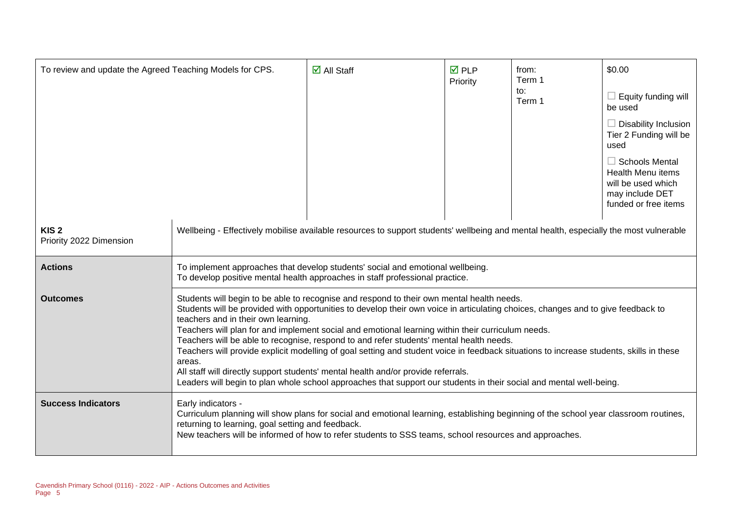| To review and update the Agreed Teaching Models for CPS. |                                                                                                                                                                                                                                                                                                                                                                                                                                                                                                                                                                                                                                                                                                                                                                                                                                       | $\overline{\mathsf{M}}$ All Staff | $\overline{M}$ PLP<br>Priority | from:<br>Term 1<br>to:<br>Term 1 | \$0.00<br>Equity funding will<br>be used<br>$\Box$ Disability Inclusion<br>Tier 2 Funding will be<br>used<br>$\Box$ Schools Mental<br><b>Health Menu items</b><br>will be used which<br>may include DET<br>funded or free items |
|----------------------------------------------------------|---------------------------------------------------------------------------------------------------------------------------------------------------------------------------------------------------------------------------------------------------------------------------------------------------------------------------------------------------------------------------------------------------------------------------------------------------------------------------------------------------------------------------------------------------------------------------------------------------------------------------------------------------------------------------------------------------------------------------------------------------------------------------------------------------------------------------------------|-----------------------------------|--------------------------------|----------------------------------|---------------------------------------------------------------------------------------------------------------------------------------------------------------------------------------------------------------------------------|
| KIS <sub>2</sub><br>Priority 2022 Dimension              | Wellbeing - Effectively mobilise available resources to support students' wellbeing and mental health, especially the most vulnerable                                                                                                                                                                                                                                                                                                                                                                                                                                                                                                                                                                                                                                                                                                 |                                   |                                |                                  |                                                                                                                                                                                                                                 |
| <b>Actions</b>                                           | To implement approaches that develop students' social and emotional wellbeing.<br>To develop positive mental health approaches in staff professional practice.                                                                                                                                                                                                                                                                                                                                                                                                                                                                                                                                                                                                                                                                        |                                   |                                |                                  |                                                                                                                                                                                                                                 |
| <b>Outcomes</b>                                          | Students will begin to be able to recognise and respond to their own mental health needs.<br>Students will be provided with opportunities to develop their own voice in articulating choices, changes and to give feedback to<br>teachers and in their own learning.<br>Teachers will plan for and implement social and emotional learning within their curriculum needs.<br>Teachers will be able to recognise, respond to and refer students' mental health needs.<br>Teachers will provide explicit modelling of goal setting and student voice in feedback situations to increase students, skills in these<br>areas.<br>All staff will directly support students' mental health and/or provide referrals.<br>Leaders will begin to plan whole school approaches that support our students in their social and mental well-being. |                                   |                                |                                  |                                                                                                                                                                                                                                 |
| <b>Success Indicators</b>                                | Early indicators -<br>Curriculum planning will show plans for social and emotional learning, establishing beginning of the school year classroom routines,<br>returning to learning, goal setting and feedback.<br>New teachers will be informed of how to refer students to SSS teams, school resources and approaches.                                                                                                                                                                                                                                                                                                                                                                                                                                                                                                              |                                   |                                |                                  |                                                                                                                                                                                                                                 |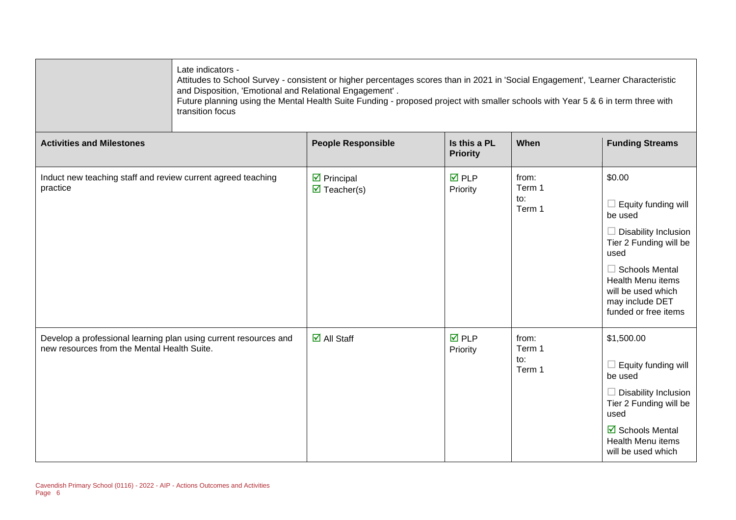| Late indicators -<br>Attitudes to School Survey - consistent or higher percentages scores than in 2021 in 'Social Engagement', 'Learner Characteristic<br>and Disposition, 'Emotional and Relational Engagement'.<br>Future planning using the Mental Health Suite Funding - proposed project with smaller schools with Year 5 & 6 in term three with<br>transition focus |  |
|---------------------------------------------------------------------------------------------------------------------------------------------------------------------------------------------------------------------------------------------------------------------------------------------------------------------------------------------------------------------------|--|
|---------------------------------------------------------------------------------------------------------------------------------------------------------------------------------------------------------------------------------------------------------------------------------------------------------------------------------------------------------------------------|--|

| <b>Activities and Milestones</b>                                                                                | <b>People Responsible</b>                                        | Is this a PL<br><b>Priority</b> | When                             | <b>Funding Streams</b>                                                                                                                                                                                                   |
|-----------------------------------------------------------------------------------------------------------------|------------------------------------------------------------------|---------------------------------|----------------------------------|--------------------------------------------------------------------------------------------------------------------------------------------------------------------------------------------------------------------------|
| Induct new teaching staff and review current agreed teaching<br>practice                                        | $\triangleright$ Principal<br>$\overline{\mathbf{M}}$ Teacher(s) | $\overline{M}$ PLP<br>Priority  | from:<br>Term 1<br>to:<br>Term 1 | \$0.00<br>Equity funding will<br>be used<br>Disability Inclusion<br>Tier 2 Funding will be<br>used<br><b>Schools Mental</b><br><b>Health Menu items</b><br>will be used which<br>may include DET<br>funded or free items |
| Develop a professional learning plan using current resources and<br>new resources from the Mental Health Suite. | $\boxtimes$ All Staff                                            | $\overline{M}$ PLP<br>Priority  | from:<br>Term 1<br>to:<br>Term 1 | \$1,500.00<br>Equity funding will<br>be used<br>Disability Inclusion<br>Tier 2 Funding will be<br>used<br>$\boxtimes$ Schools Mental<br><b>Health Menu items</b><br>will be used which                                   |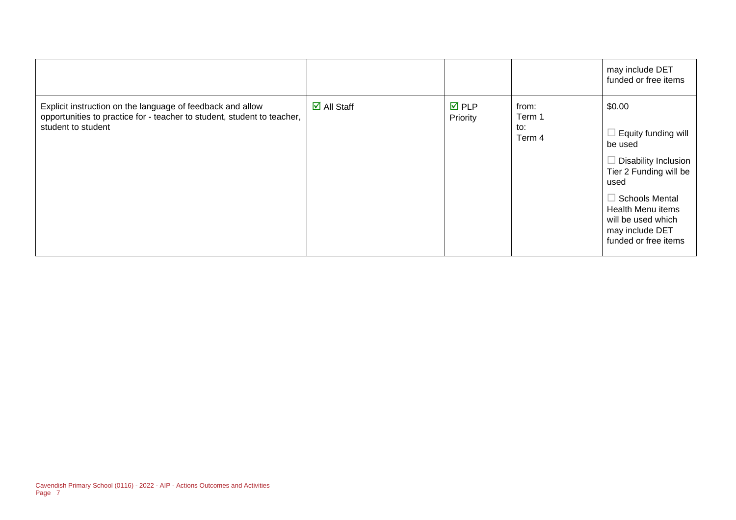|                                                                                                                                                             |                                   |                                |                                  | may include DET<br>funded or free items                                                                                                                                                                           |
|-------------------------------------------------------------------------------------------------------------------------------------------------------------|-----------------------------------|--------------------------------|----------------------------------|-------------------------------------------------------------------------------------------------------------------------------------------------------------------------------------------------------------------|
| Explicit instruction on the language of feedback and allow<br>opportunities to practice for - teacher to student, student to teacher,<br>student to student | $\overline{\mathsf{d}}$ All Staff | $\overline{M}$ PLP<br>Priority | from:<br>Term 1<br>to:<br>Term 4 | \$0.00<br>Equity funding will<br>be used<br>Disability Inclusion<br>Tier 2 Funding will be<br>used<br>Schools Mental<br><b>Health Menu items</b><br>will be used which<br>may include DET<br>funded or free items |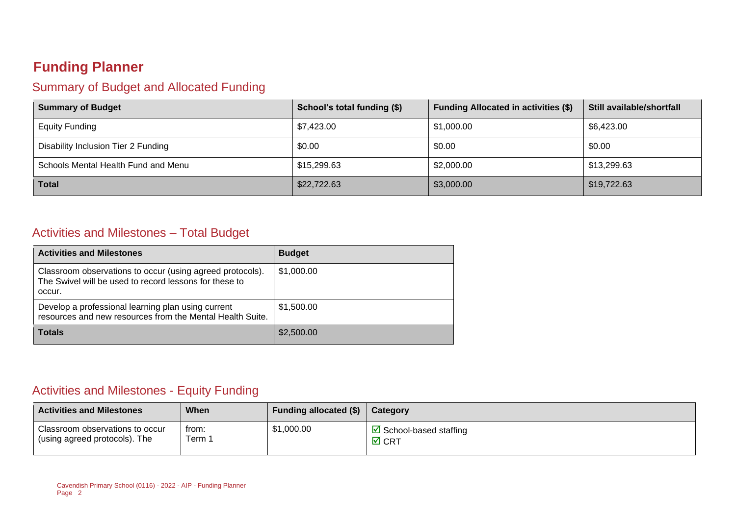# **Funding Planner**

# Summary of Budget and Allocated Funding

| <b>Summary of Budget</b>            | School's total funding (\$) | <b>Funding Allocated in activities (\$)</b> | Still available/shortfall |
|-------------------------------------|-----------------------------|---------------------------------------------|---------------------------|
| <b>Equity Funding</b>               | \$7,423.00                  | \$1,000.00                                  | \$6,423.00                |
| Disability Inclusion Tier 2 Funding | \$0.00                      | \$0.00                                      | \$0.00                    |
| Schools Mental Health Fund and Menu | \$15,299.63                 | \$2,000.00                                  | \$13,299.63               |
| <b>Total</b>                        | \$22,722.63                 | \$3,000.00                                  | \$19,722.63               |

### Activities and Milestones – Total Budget

| <b>Activities and Milestones</b>                                                                                              | <b>Budget</b> |
|-------------------------------------------------------------------------------------------------------------------------------|---------------|
| Classroom observations to occur (using agreed protocols).<br>The Swivel will be used to record lessons for these to<br>occur. | \$1,000.00    |
| Develop a professional learning plan using current<br>resources and new resources from the Mental Health Suite.               | \$1,500.00    |
| <b>Totals</b>                                                                                                                 | \$2,500.00    |

# Activities and Milestones - Equity Funding

| <b>Activities and Milestones</b> | When   | Funding allocated (\$) | Category                          |
|----------------------------------|--------|------------------------|-----------------------------------|
| Classroom observations to occur  | trom:  | \$1,000.00             | $\boxtimes$ School-based staffing |
| (using agreed protocols). The    | ⊺erm ∶ |                        | $\boxtimes$ CRT                   |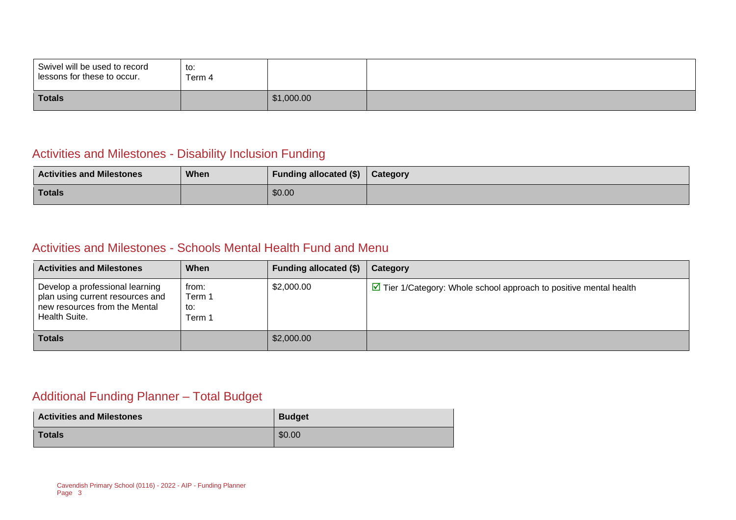| Swivel will be used to record<br>lessons for these to occur. | $+ \sim$<br>w.<br>Term 4 |            |  |
|--------------------------------------------------------------|--------------------------|------------|--|
| <b>Totals</b>                                                |                          | \$1,000.00 |  |

# Activities and Milestones - Disability Inclusion Funding

| <b>Activities and Milestones</b> | When | <b>Funding allocated (\$)</b> | Category |
|----------------------------------|------|-------------------------------|----------|
| Totals                           |      | \$0.00                        |          |

#### Activities and Milestones - Schools Mental Health Fund and Menu

| <b>Activities and Milestones</b>                                                                                      | When                             | Funding allocated (\$) | Category                                                                          |
|-----------------------------------------------------------------------------------------------------------------------|----------------------------------|------------------------|-----------------------------------------------------------------------------------|
| Develop a professional learning<br>plan using current resources and<br>new resources from the Mental<br>Health Suite. | from:<br>Term 1<br>to:<br>Term 1 | \$2,000.00             | $\triangleright$ Tier 1/Category: Whole school approach to positive mental health |
| <b>Totals</b>                                                                                                         |                                  | \$2,000.00             |                                                                                   |

# Additional Funding Planner – Total Budget

| <b>Activities and Milestones</b> | <b>Budget</b> |
|----------------------------------|---------------|
| Totals                           | \$0.00        |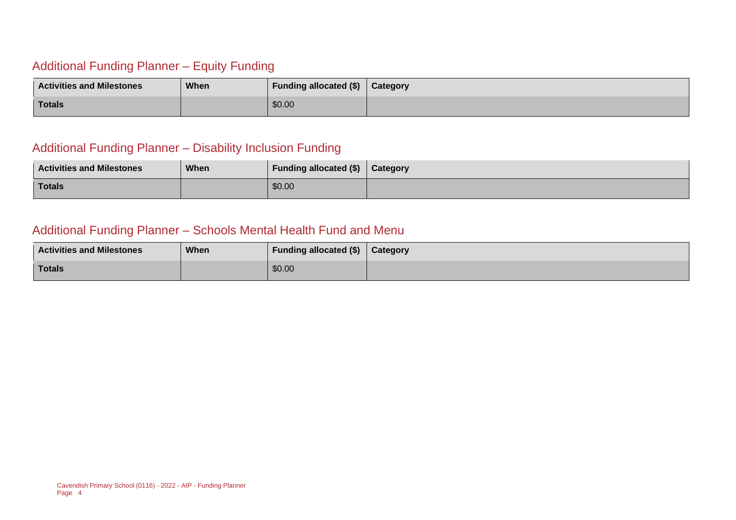# Additional Funding Planner – Equity Funding

| <b>Activities and Milestones</b> | When | Funding allocated $(\$)$ | Category |
|----------------------------------|------|--------------------------|----------|
| <b>Totals</b>                    |      | \$0.00                   |          |

# Additional Funding Planner – Disability Inclusion Funding

| <b>Activities and Milestones</b> | When | Funding allocated (\$) | Category |
|----------------------------------|------|------------------------|----------|
| Totals                           |      | \$0.00                 |          |

# Additional Funding Planner – Schools Mental Health Fund and Menu

| <b>Activities and Milestones</b> | When | <b>Funding allocated (\$)</b> | Category |
|----------------------------------|------|-------------------------------|----------|
| <b>Totals</b>                    |      | \$0.00                        |          |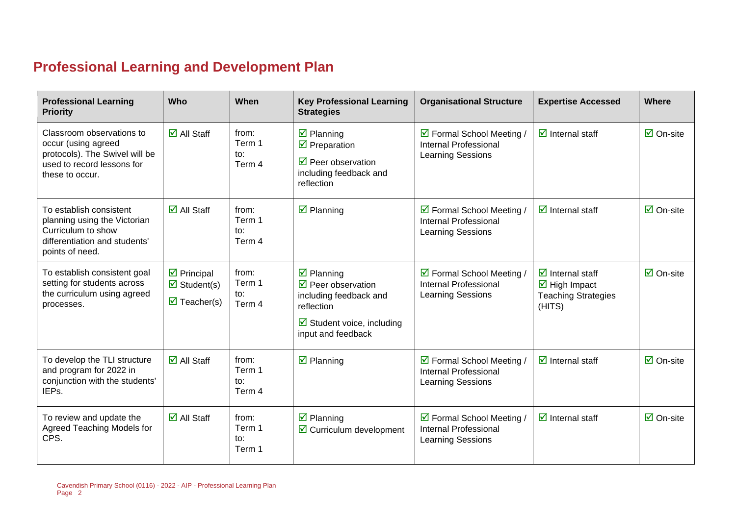# **Professional Learning and Development Plan**

| <b>Professional Learning</b><br><b>Priority</b>                                                                                     | Who                                                                                                    | When                             | <b>Key Professional Learning</b><br><b>Strategies</b>                                                                                                                      | <b>Organisational Structure</b>                                                       | <b>Expertise Accessed</b>                                                                                             | <b>Where</b>                    |
|-------------------------------------------------------------------------------------------------------------------------------------|--------------------------------------------------------------------------------------------------------|----------------------------------|----------------------------------------------------------------------------------------------------------------------------------------------------------------------------|---------------------------------------------------------------------------------------|-----------------------------------------------------------------------------------------------------------------------|---------------------------------|
| Classroom observations to<br>occur (using agreed<br>protocols). The Swivel will be<br>used to record lessons for<br>these to occur. | $\overline{\Box}$ All Staff                                                                            | from:<br>Term 1<br>to:<br>Term 4 | $\boxtimes$ Planning<br>$\triangledown$ Preparation<br>$\triangledown$ Peer observation<br>including feedback and<br>reflection                                            | ☑ Formal School Meeting /<br><b>Internal Professional</b><br><b>Learning Sessions</b> | $\overline{\mathbf{z}}$ Internal staff                                                                                | $\overline{\mathbf{2}}$ On-site |
| To establish consistent<br>planning using the Victorian<br>Curriculum to show<br>differentiation and students'<br>points of need.   | $\overline{\blacksquare}$ All Staff                                                                    | from:<br>Term 1<br>to:<br>Term 4 | $\overline{\mathbf{z}}$ Planning                                                                                                                                           | ☑ Formal School Meeting /<br><b>Internal Professional</b><br>Learning Sessions        | $\overline{\mathbf{z}}$ Internal staff                                                                                | $\overline{\Box}$ On-site       |
| To establish consistent goal<br>setting for students across<br>the curriculum using agreed<br>processes.                            | $\triangleright$ Principal<br>$\overline{\mathbf{z}}$ Student(s)<br>$\overline{\mathbf{M}}$ Teacher(s) | from:<br>Term 1<br>to:<br>Term 4 | $\overline{\mathbf{z}}$ Planning<br>$\triangledown$ Peer observation<br>including feedback and<br>reflection<br>$\boxtimes$ Student voice, including<br>input and feedback | ☑ Formal School Meeting /<br><b>Internal Professional</b><br><b>Learning Sessions</b> | $\overline{\mathbf{z}}$ Internal staff<br>$\overline{\mathbf{M}}$ High Impact<br><b>Teaching Strategies</b><br>(HITS) | $\overline{\mathsf{M}}$ On-site |
| To develop the TLI structure<br>and program for 2022 in<br>conjunction with the students'<br>IEPs.                                  | $\overline{\Box}$ All Staff                                                                            | from:<br>Term 1<br>to:<br>Term 4 | $\boxtimes$ Planning                                                                                                                                                       | ☑ Formal School Meeting /<br><b>Internal Professional</b><br>Learning Sessions        | $\overline{\mathbf{d}}$ Internal staff                                                                                | $\overline{\mathsf{M}}$ On-site |
| To review and update the<br>Agreed Teaching Models for<br>CPS.                                                                      | $\overline{\mathsf{M}}$ All Staff                                                                      | from:<br>Term 1<br>to:<br>Term 1 | $\overline{\mathbf{z}}$ Planning<br>$\triangleright$ Curriculum development                                                                                                | ☑ Formal School Meeting /<br><b>Internal Professional</b><br>Learning Sessions        | $\overline{\mathbf{d}}$ Internal staff                                                                                | $\boxtimes$ On-site             |